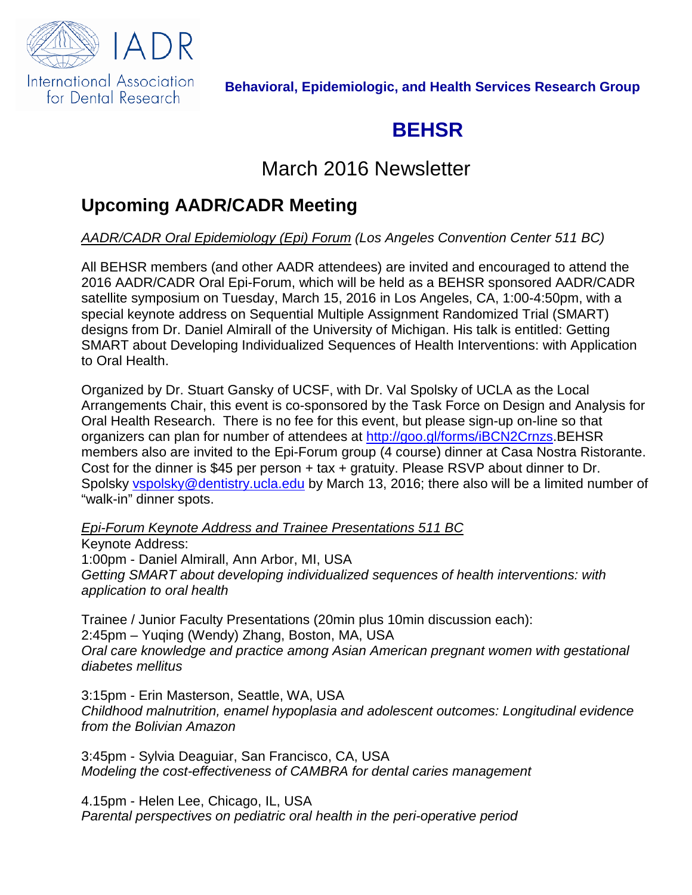

#### **Behavioral, Epidemiologic, and Health Services Research Group**

# **BEHSR**

## March 2016 Newsletter

## **Upcoming AADR/CADR Meeting**

#### *AADR/CADR Oral Epidemiology (Epi) Forum (Los Angeles Convention Center 511 BC)*

All BEHSR members (and other AADR attendees) are invited and encouraged to attend the 2016 AADR/CADR Oral Epi-Forum, which will be held as a BEHSR sponsored AADR/CADR satellite symposium on Tuesday, March 15, 2016 in Los Angeles, CA, 1:00-4:50pm, with a special keynote address on Sequential Multiple Assignment Randomized Trial (SMART) designs from Dr. Daniel Almirall of the University of Michigan. His talk is entitled: Getting SMART about Developing Individualized Sequences of Health Interventions: with Application to Oral Health.

Organized by Dr. Stuart Gansky of UCSF, with Dr. Val Spolsky of UCLA as the Local Arrangements Chair, this event is co-sponsored by the Task Force on Design and Analysis for Oral Health Research. There is no fee for this event, but please sign-up on-line so that organizers can plan for number of attendees at [http://goo.gl/forms/iBCN2Crnzs.](http://goo.gl/forms/iBCN2Crnzs)BEHSR members also are invited to the Epi-Forum group (4 course) dinner at Casa Nostra Ristorante. Cost for the dinner is \$45 per person + tax + gratuity. Please RSVP about dinner to Dr. Spolsky [vspolsky@dentistry.ucla.edu](mailto:vspolsky@dentistry.ucla.edu) by March 13, 2016; there also will be a limited number of "walk-in" dinner spots.

*Epi-Forum Keynote Address and Trainee Presentations 511 BC*

Keynote Address: 1:00pm - Daniel Almirall, Ann Arbor, MI, USA *Getting SMART about developing individualized sequences of health interventions: with application to oral health*

Trainee / Junior Faculty Presentations (20min plus 10min discussion each): 2:45pm – Yuqing (Wendy) Zhang, Boston, MA, USA *Oral care knowledge and practice among Asian American pregnant women with gestational diabetes mellitus*

3:15pm - Erin Masterson, Seattle, WA, USA *Childhood malnutrition, enamel hypoplasia and adolescent outcomes: Longitudinal evidence from the Bolivian Amazon*

3:45pm - Sylvia Deaguiar, San Francisco, CA, USA *Modeling the cost-effectiveness of CAMBRA for dental caries management*

4.15pm - Helen Lee, Chicago, IL, USA *Parental perspectives on pediatric oral health in the peri-operative period*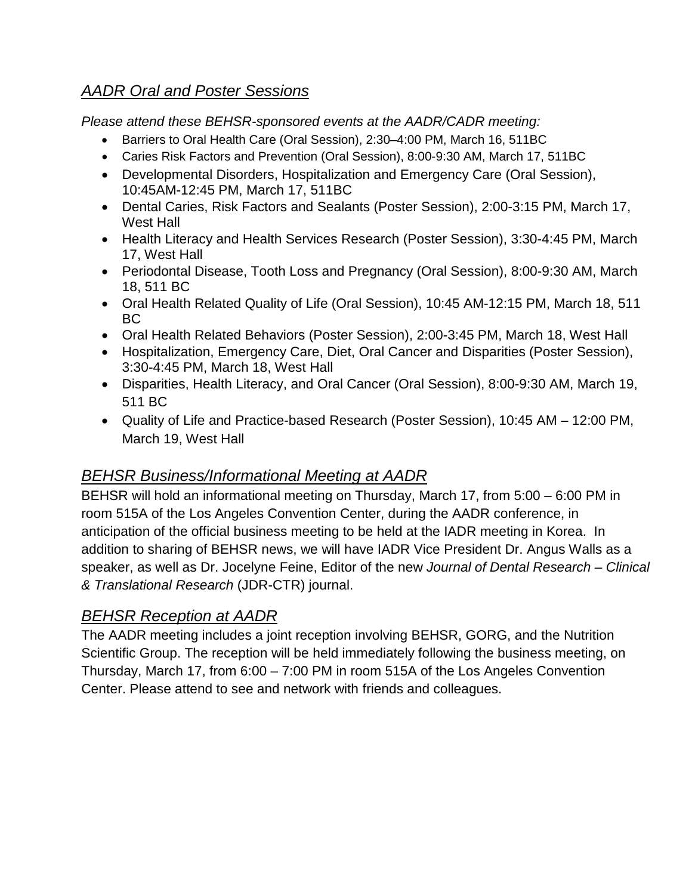### *AADR Oral and Poster Sessions*

*Please attend these BEHSR-sponsored events at the AADR/CADR meeting:*

- Barriers to Oral Health Care [\(Oral Session\)](https://aadr2016.zerista.com/event?event_order=start&event_page=1&owner=other&owner_id=1044774&track_id=7730), 2:30–4:00 PM, March 16, [511BC](https://aadr2016.zerista.com/viewer/5305?facet_id=11#939629)
- Caries Risk Factors and Prevention (Oral Session), 8:00-9:30 AM, March 17, [511BC](https://aadr2016.zerista.com/viewer/5305?facet_id=11#939629)
- Developmental Disorders, Hospitalization and Emergency Care (Oral Session), 10:45AM-12:45 PM, March 17, [511BC](https://aadr2016.zerista.com/viewer/5305?facet_id=11#939629)
- Dental Caries, Risk Factors and Sealants (Poster Session), 2:00-3:15 PM, March 17, [West Hall](https://aadr2016.zerista.com/viewer/5304?facet_id=11#940947)
- Health Literacy and Health Services Research (Poster Session), 3:30-4:45 PM, March 17, West Hall
- Periodontal Disease, Tooth Loss and Pregnancy (Oral Session), 8:00-9:30 AM, March 18, 511 BC
- Oral Health Related Quality of Life (Oral Session), 10:45 AM-12:15 PM, March 18, 511 BC
- Oral Health Related Behaviors (Poster Session), 2:00-3:45 PM, March 18, West Hall
- Hospitalization, Emergency Care, Diet, Oral Cancer and Disparities (Poster Session), 3:30-4:45 PM, March 18, West Hall
- Disparities, Health Literacy, and Oral Cancer (Oral Session), 8:00-9:30 AM, March 19, 511 BC
- Quality of Life and Practice-based Research (Poster Session), 10:45 AM 12:00 PM, March 19, West Hall

### *BEHSR Business/Informational Meeting at AADR*

BEHSR will hold an informational meeting on Thursday, March 17, from 5:00 – 6:00 PM in room 515A of the Los Angeles Convention Center, during the AADR conference, in anticipation of the official business meeting to be held at the IADR meeting in Korea. In addition to sharing of BEHSR news, we will have IADR Vice President Dr. Angus Walls as a speaker, as well as Dr. Jocelyne Feine, Editor of the new *Journal of Dental Research – Clinical & Translational Research* (JDR-CTR) journal.

### *BEHSR Reception at AADR*

The AADR meeting includes a joint reception involving BEHSR, GORG, and the Nutrition Scientific Group. The reception will be held immediately following the business meeting, on Thursday, March 17, from 6:00 – 7:00 PM in room 515A of the Los Angeles Convention Center. Please attend to see and network with friends and colleagues.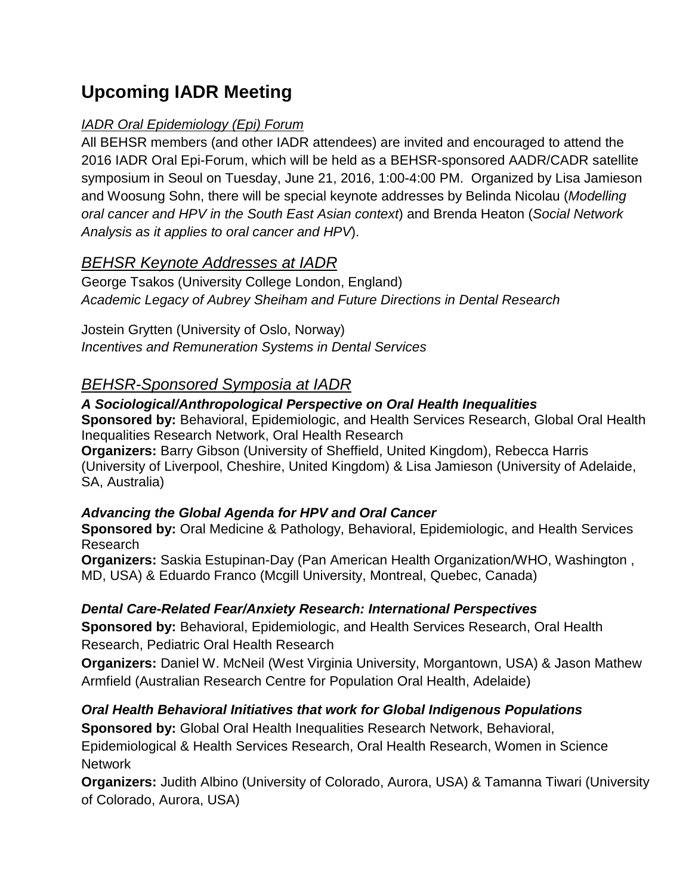## **Upcoming IADR Meeting**

#### *IADR Oral Epidemiology (Epi) Forum*

All BEHSR members (and other IADR attendees) are invited and encouraged to attend the 2016 IADR Oral Epi-Forum, which will be held as a BEHSR-sponsored AADR/CADR satellite symposium in Seoul on Tuesday, June 21, 2016, 1:00-4:00 PM. Organized by Lisa Jamieson and Woosung Sohn, there will be special keynote addresses by Belinda Nicolau (*Modelling oral cancer and HPV in the South East Asian context*) and Brenda Heaton (*Social Network Analysis as it applies to oral cancer and HPV*).

#### *BEHSR Keynote Addresses at IADR*

George Tsakos (University College London, England) *Academic Legacy of Aubrey Sheiham and Future Directions in Dental Research*

Jostein Grytten (University of Oslo, Norway) *Incentives and Remuneration Systems in Dental Services*

### *BEHSR-Sponsored Symposia at IADR*

#### *A Sociological/Anthropological Perspective on Oral Health Inequalities*

**Sponsored by:** Behavioral, Epidemiologic, and Health Services Research, Global Oral Health Inequalities Research Network, Oral Health Research

**Organizers:** Barry Gibson (University of Sheffield, United Kingdom), Rebecca Harris (University of Liverpool, Cheshire, United Kingdom) & Lisa Jamieson (University of Adelaide, SA, Australia)

#### *Advancing the Global Agenda for HPV and Oral Cancer*

**Sponsored by:** Oral Medicine & Pathology, Behavioral, Epidemiologic, and Health Services Research

**Organizers:** Saskia Estupinan-Day (Pan American Health Organization/WHO, Washington , MD, USA) & Eduardo Franco (Mcgill University, Montreal, Quebec, Canada)

#### *Dental Care-Related Fear/Anxiety Research: International Perspectives*

**Sponsored by:** Behavioral, Epidemiologic, and Health Services Research, Oral Health Research, Pediatric Oral Health Research

**Organizers:** Daniel W. McNeil (West Virginia University, Morgantown, USA) & Jason Mathew Armfield (Australian Research Centre for Population Oral Health, Adelaide)

#### *Oral Health Behavioral Initiatives that work for Global Indigenous Populations*

**Sponsored by:** Global Oral Health Inequalities Research Network, Behavioral, Epidemiological & Health Services Research, Oral Health Research, Women in Science **Network** 

**Organizers:** Judith Albino (University of Colorado, Aurora, USA) & Tamanna Tiwari (University of Colorado, Aurora, USA)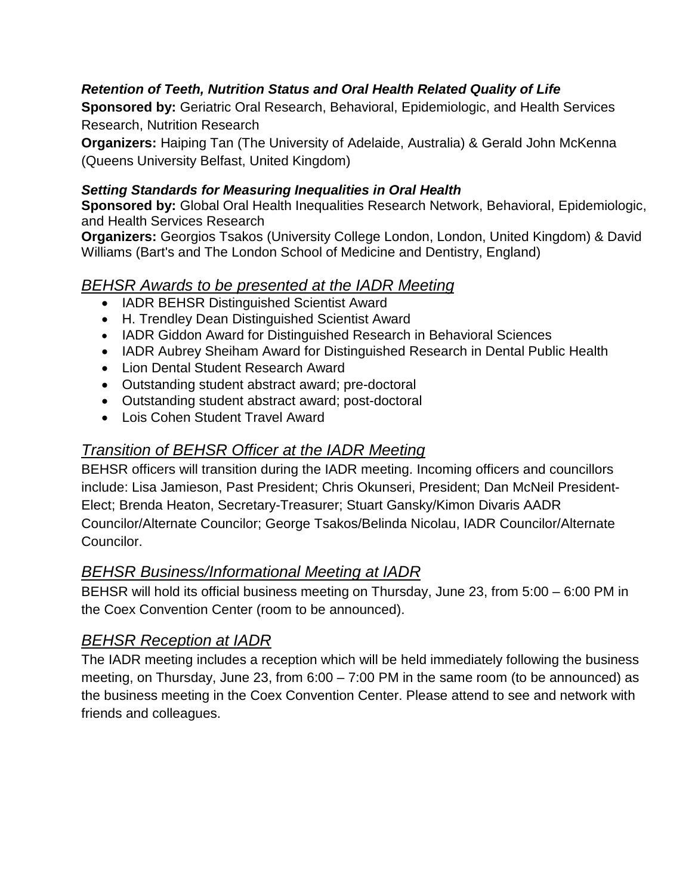#### *Retention of Teeth, Nutrition Status and Oral Health Related Quality of Life*

**Sponsored by:** Geriatric Oral Research, Behavioral, Epidemiologic, and Health Services Research, Nutrition Research

**Organizers:** Haiping Tan (The University of Adelaide, Australia) & Gerald John McKenna (Queens University Belfast, United Kingdom)

#### *Setting Standards for Measuring Inequalities in Oral Health*

**Sponsored by:** Global Oral Health Inequalities Research Network, Behavioral, Epidemiologic, and Health Services Research

**Organizers:** Georgios Tsakos (University College London, London, United Kingdom) & David Williams (Bart's and The London School of Medicine and Dentistry, England)

#### *BEHSR Awards to be presented at the IADR Meeting*

- IADR BEHSR Distinguished Scientist Award
- H. Trendley Dean Distinguished Scientist Award
- IADR Giddon Award for Distinguished Research in Behavioral Sciences
- IADR Aubrey Sheiham Award for Distinguished Research in Dental Public Health
- Lion Dental Student Research Award
- Outstanding student abstract award; pre-doctoral
- Outstanding student abstract award; post-doctoral
- Lois Cohen Student Travel Award

#### *Transition of BEHSR Officer at the IADR Meeting*

BEHSR officers will transition during the IADR meeting. Incoming officers and councillors include: Lisa Jamieson, Past President; Chris Okunseri, President; Dan McNeil President-Elect; Brenda Heaton, Secretary-Treasurer; Stuart Gansky/Kimon Divaris AADR Councilor/Alternate Councilor; George Tsakos/Belinda Nicolau, IADR Councilor/Alternate Councilor.

#### *BEHSR Business/Informational Meeting at IADR*

BEHSR will hold its official business meeting on Thursday, June 23, from 5:00 – 6:00 PM in the Coex Convention Center (room to be announced).

#### *BEHSR Reception at IADR*

The IADR meeting includes a reception which will be held immediately following the business meeting, on Thursday, June 23, from 6:00 – 7:00 PM in the same room (to be announced) as the business meeting in the Coex Convention Center. Please attend to see and network with friends and colleagues.